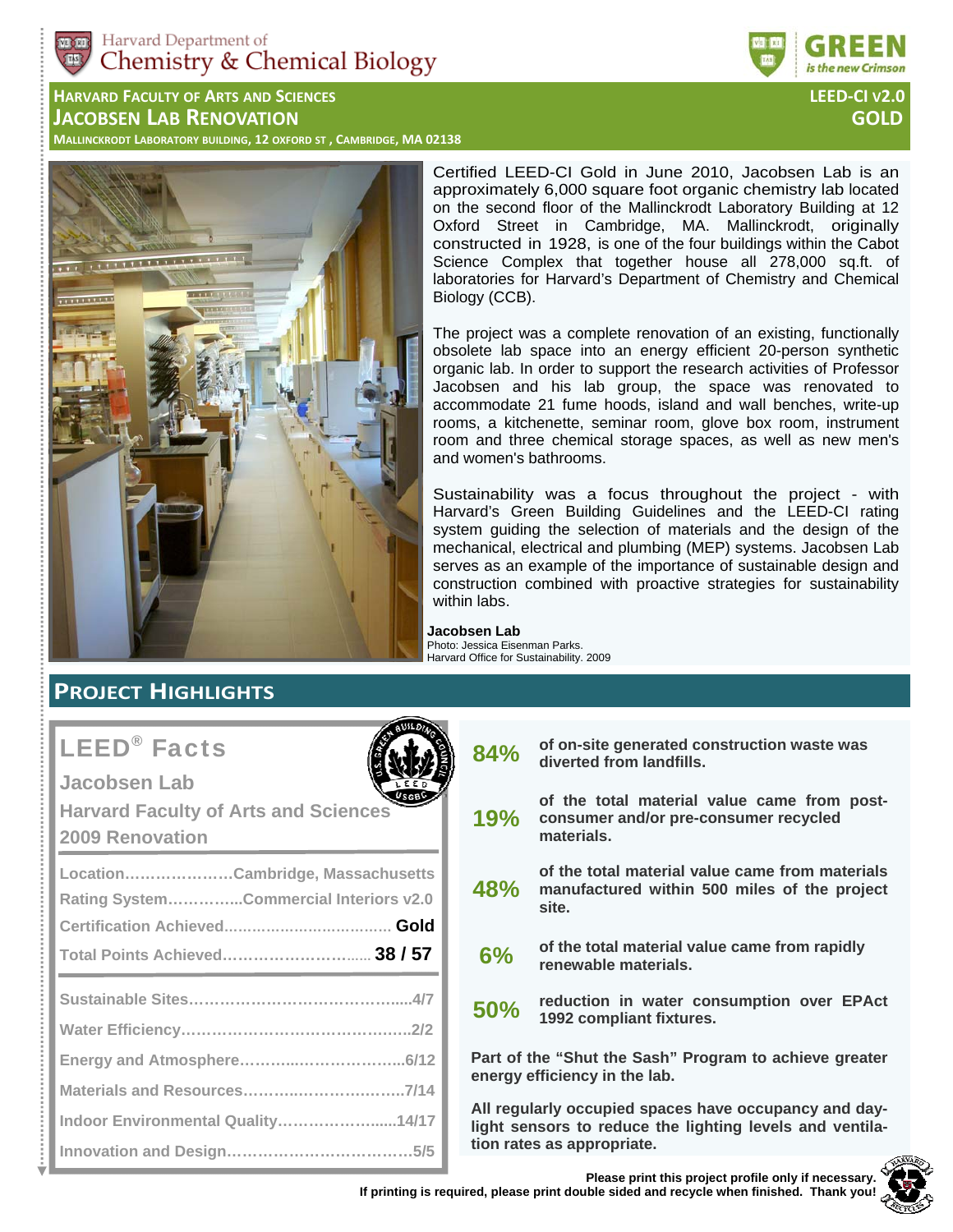

**HARVARD FACULTY OF ARTS AND SCIENCES LEED‐CI V2.0 JACOBSEN LAB RENOVATION GOLD**

MALLINCKRODT LABORATORY BUILDING, 12 OXFORD ST, CAMBRIDGE, MA 02138



Certified LEED-CI Gold in June 2010, Jacobsen Lab is an approximately 6,000 square foot organic chemistry lab located on the second floor of the Mallinckrodt Laboratory Building at 12 Oxford Street in Cambridge, MA. Mallinckrodt, originally constructed in 1928, is one of the four buildings within the Cabot Science Complex that together house all 278,000 sq.ft. of laboratories for Harvard's Department of Chemistry and Chemical Biology (CCB).

The project was a complete renovation of an existing, functionally obsolete lab space into an energy efficient 20-person synthetic organic lab. In order to support the research activities of Professor Jacobsen and his lab group, the space was renovated to accommodate 21 fume hoods, island and wall benches, write-up rooms, a kitchenette, seminar room, glove box room, instrument room and three chemical storage spaces, as well as new men's and women's bathrooms.

Sustainability was a focus throughout the project - with Harvard's Green Building Guidelines and the LEED-CI rating system guiding the selection of materials and the design of the mechanical, electrical and plumbing (MEP) systems. Jacobsen Lab serves as an example of the importance of sustainable design and construction combined with proactive strategies for sustainability within labs.

#### **Jacobsen Lab**  Photo: Jessica Eisenman Parks. Harvard Office for Sustainability. 2009

# **PROJECT HIGHLIGHTS**

# LEED® Facts

**Jacobsen Lab** 

**Harvard Faculty of Arts and Sciences 2009 Renovation** 

| LocationCambridge, Massachusetts       |
|----------------------------------------|
| Rating SystemCommercial Interiors v2.0 |
|                                        |
|                                        |
|                                        |
|                                        |
|                                        |
|                                        |
|                                        |
| Indoor Environmental Quality14/17      |
|                                        |

| 84% | of on-site generated construction waste was<br>diverted from landfills. |
|-----|-------------------------------------------------------------------------|
|-----|-------------------------------------------------------------------------|

- **19% of the total material value came from postconsumer and/or pre-consumer recycled materials.**
- **48% of the total material value came from materials manufactured within 500 miles of the project site.**
- **6% of the total material value came from rapidly renewable materials.**
- **50% reduction in water consumption over EPAct 1992 compliant fixtures.**

**Part of the "Shut the Sash" Program to achieve greater energy efficiency in the lab.** 

**All regularly occupied spaces have occupancy and daylight sensors to reduce the lighting levels and ventilation rates as appropriate.** 

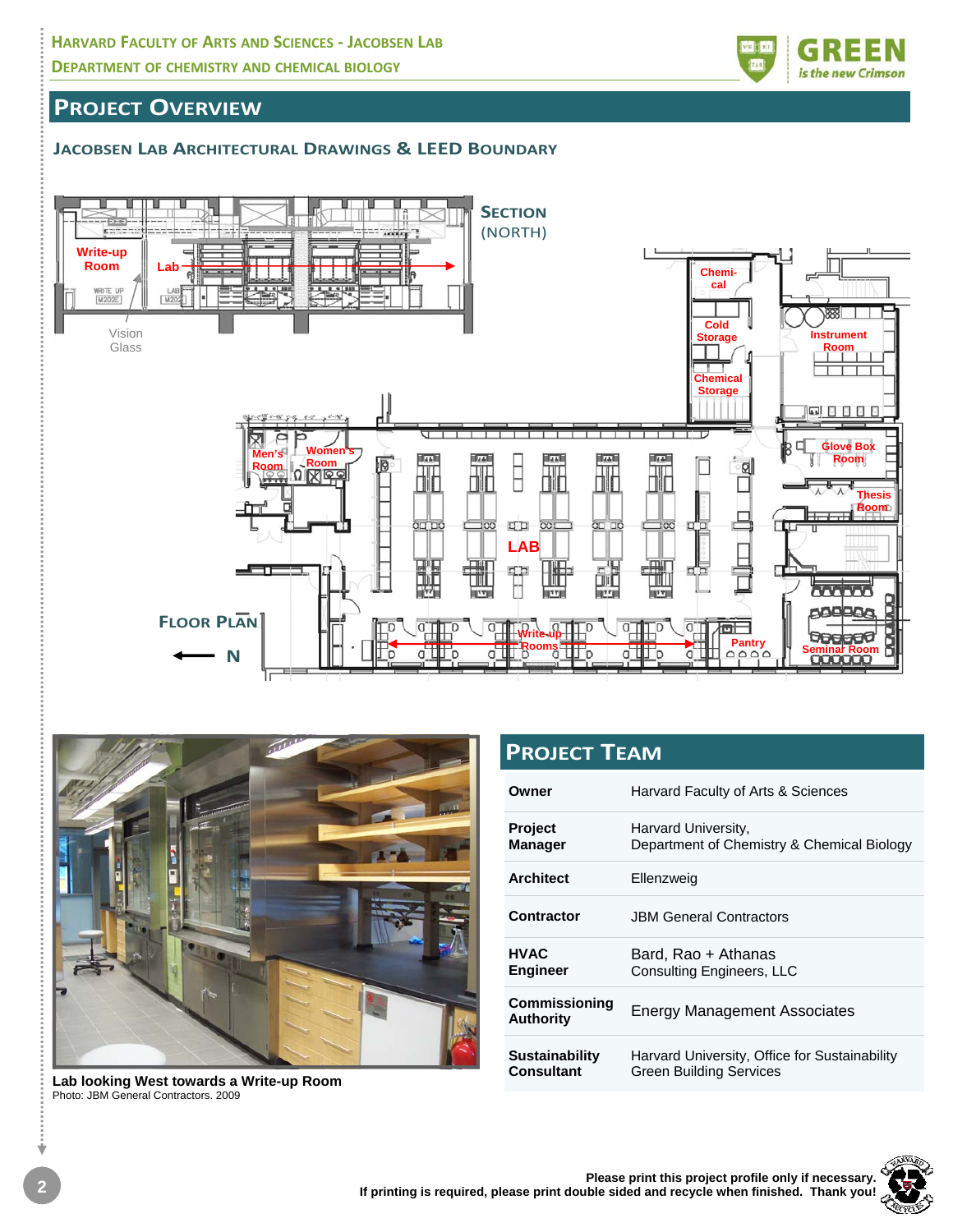

# **PROJECT OVERVIEW**

### **JACOBSEN LAB ARCHITECTURAL DRAWINGS & LEED BOUNDARY**





**Lab looking West towards a Write-up Room**  Photo: JBM General Contractors. 2009

| <b>PROJECT TEAM</b>                 |                                                                                 |  |  |  |  |
|-------------------------------------|---------------------------------------------------------------------------------|--|--|--|--|
| Owner                               | Harvard Faculty of Arts & Sciences                                              |  |  |  |  |
| <b>Project</b><br><b>Manager</b>    | Harvard University,<br>Department of Chemistry & Chemical Biology               |  |  |  |  |
| <b>Architect</b>                    | Ellenzweig                                                                      |  |  |  |  |
| <b>Contractor</b>                   | <b>JBM General Contractors</b>                                                  |  |  |  |  |
| <b>HVAC</b><br>Engineer             | Bard, Rao + Athanas<br><b>Consulting Engineers, LLC</b>                         |  |  |  |  |
| Commissioning<br><b>Authority</b>   | <b>Energy Management Associates</b>                                             |  |  |  |  |
| <b>Sustainability</b><br>Consultant | Harvard University, Office for Sustainability<br><b>Green Building Services</b> |  |  |  |  |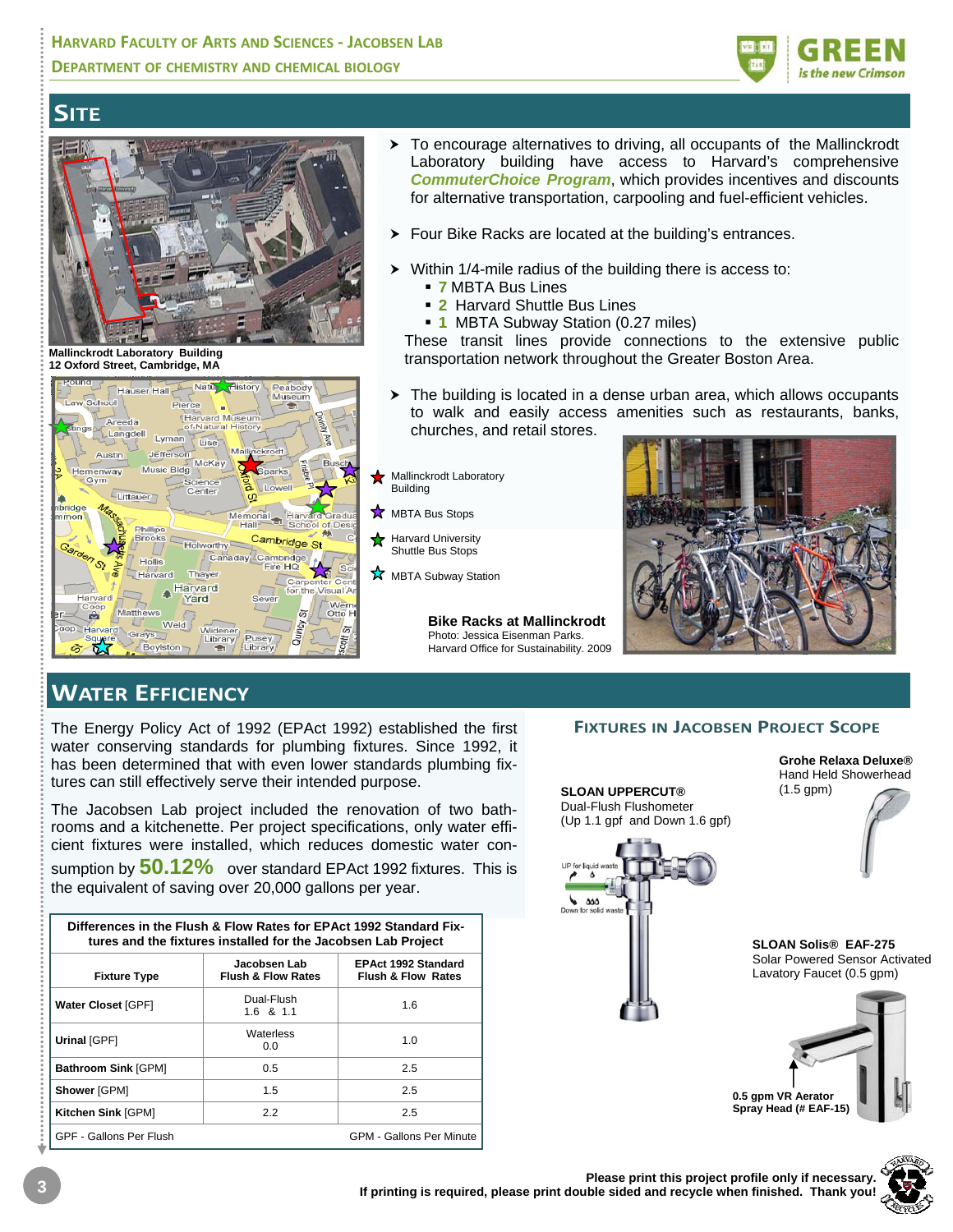

# **SITE**



**Mallinckrodt Laboratory Building 12 Oxford Street, Cambridge, MA**



- > To encourage alternatives to driving, all occupants of the Mallinckrodt Laboratory building have access to Harvard's comprehensive *CommuterChoice Program*, which provides incentives and discounts for alternative transportation, carpooling and fuel-efficient vehicles.
- Four Bike Racks are located at the building's entrances.
- Within 1/4-mile radius of the building there is access to:
	- **7** MBTA Bus Lines
	- **2** Harvard Shuttle Bus Lines
	- **1** MBTA Subway Station (0.27 miles)

These transit lines provide connections to the extensive public transportation network throughout the Greater Boston Area.

 $\triangleright$  The building is located in a dense urban area, which allows occupants to walk and easily access amenities such as restaurants, banks, churches, and retail stores.

Mallinckrodt Laboratory Building

- **MBTA Bus Stops**
- Harvard University Shuttle Bus Stops
- $\overrightarrow{X}$  MBTA Subway Station

**Bike Racks at Mallinckrodt**  Photo: Jessica Eisenman Parks. Harvard Office for Sustainability. 2009



# **WATER EFFICIENCY**

The Energy Policy Act of 1992 (EPAct 1992) established the first water conserving standards for plumbing fixtures. Since 1992, it has been determined that with even lower standards plumbing fixtures can still effectively serve their intended purpose.

The Jacobsen Lab project included the renovation of two bathrooms and a kitchenette. Per project specifications, only water efficient fixtures were installed, which reduces domestic water con-

sumption by **50.12%** over standard EPAct 1992 fixtures. This is the equivalent of saving over 20,000 gallons per year.

| Differences in the Flush & Flow Rates for EPAct 1992 Standard Fix-<br>tures and the fixtures installed for the Jacobsen Lab Project |                                               |                                                             |  |  |  |  |  |
|-------------------------------------------------------------------------------------------------------------------------------------|-----------------------------------------------|-------------------------------------------------------------|--|--|--|--|--|
| <b>Fixture Type</b>                                                                                                                 | Jacobsen Lab<br><b>Flush &amp; Flow Rates</b> | <b>EPAct 1992 Standard</b><br><b>Flush &amp; Flow Rates</b> |  |  |  |  |  |
| Water Closet [GPF]                                                                                                                  | Dual-Flush<br>$1.6$ & $1.1$                   | 1.6                                                         |  |  |  |  |  |
| Urinal [GPF]                                                                                                                        | Waterless<br>0.0                              | 1.0                                                         |  |  |  |  |  |
| <b>Bathroom Sink [GPM]</b>                                                                                                          | $0.5^{\circ}$                                 | 2.5                                                         |  |  |  |  |  |
| Shower [GPM]                                                                                                                        | 1.5                                           | 2.5                                                         |  |  |  |  |  |
| Kitchen Sink [GPM]                                                                                                                  | 2.2                                           | 2.5                                                         |  |  |  |  |  |
| GPF - Gallons Per Flush                                                                                                             |                                               | <b>GPM - Gallons Per Minute</b>                             |  |  |  |  |  |

#### **FIXTURES IN JACOBSEN PROJECT SCOPE**



**0.5 gpm VR Aerator Spray Head (# EAF-15)** 

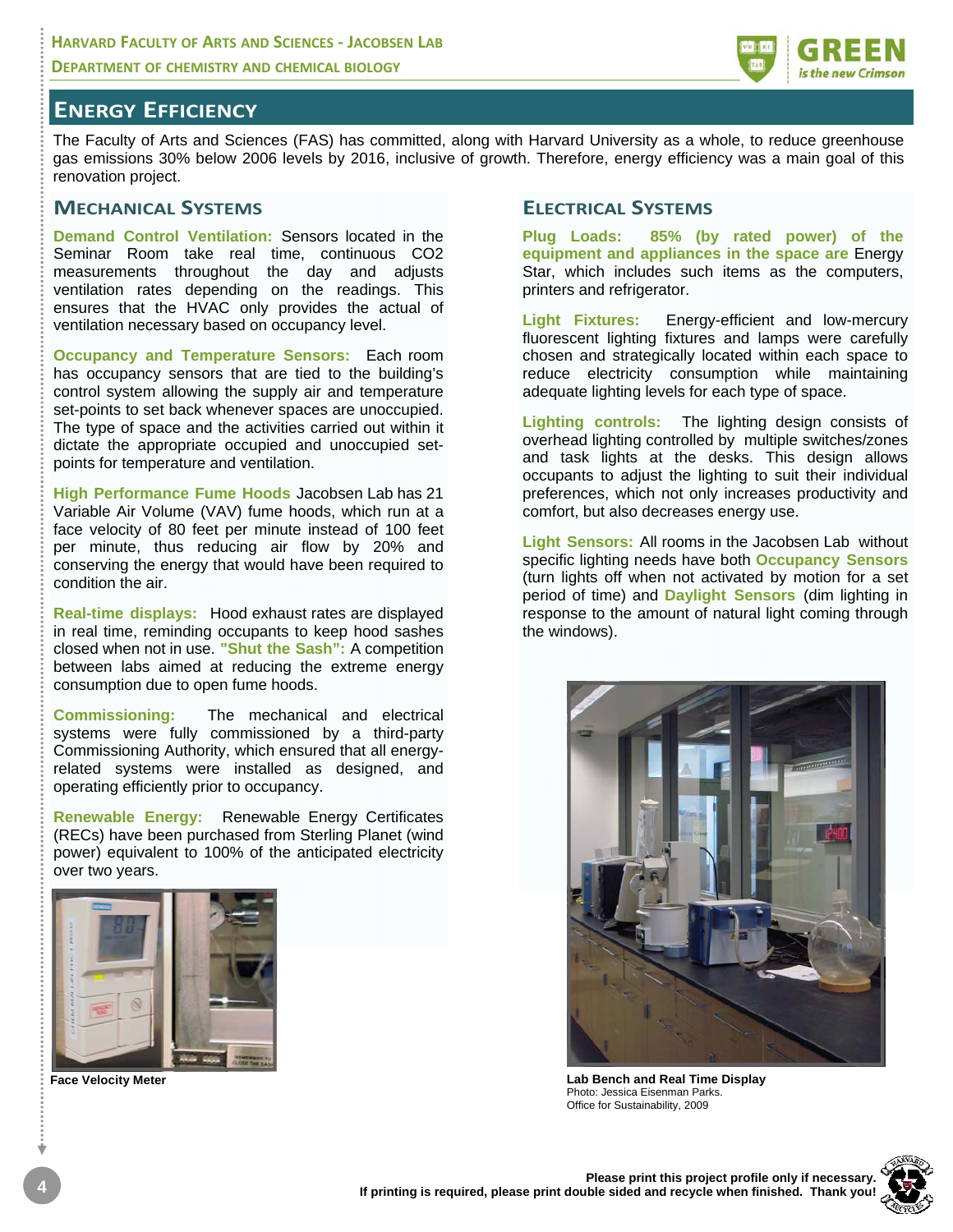

## **ENERGY EFFICIENCY**

The Faculty of Arts and Sciences (FAS) has committed, along with Harvard University as a whole, to reduce greenhouse gas emissions 30% below 2006 levels by 2016, inclusive of growth. Therefore, energy efficiency was a main goal of this renovation project.

### **MECHANICAL SYSTEMS**

**Demand Control Ventilation:** Sensors located in the Seminar Room take real time, continuous CO2 measurements throughout the day and adjusts ventilation rates depending on the readings. This ensures that the HVAC only provides the actual of ventilation necessary based on occupancy level.

**Occupancy and Temperature Sensors:** Each room has occupancy sensors that are tied to the building's control system allowing the supply air and temperature set-points to set back whenever spaces are unoccupied. The type of space and the activities carried out within it dictate the appropriate occupied and unoccupied setpoints for temperature and ventilation.

**High Performance Fume Hoods** Jacobsen Lab has 21 Variable Air Volume (VAV) fume hoods, which run at a face velocity of 80 feet per minute instead of 100 feet per minute, thus reducing air flow by 20% and conserving the energy that would have been required to condition the air.

**Real-time displays:** Hood exhaust rates are displayed in real time, reminding occupants to keep hood sashes closed when not in use. **"Shut the Sash":** A competition between labs aimed at reducing the extreme energy consumption due to open fume hoods.

**Commissioning:** The mechanical and electrical systems were fully commissioned by a third-party Commissioning Authority, which ensured that all energyrelated systems were installed as designed, and operating efficiently prior to occupancy.

**Renewable Energy:** Renewable Energy Certificates (RECs) have been purchased from Sterling Planet (wind power) equivalent to 100% of the anticipated electricity over two years.



**Face Velocity Meter**

### **ELECTRICAL SYSTEMS**

**Plug Loads: 85% (by rated power) of the equipment and appliances in the space are** Energy Star, which includes such items as the computers, printers and refrigerator.

**Light Fixtures:** Energy-efficient and low-mercury fluorescent lighting fixtures and lamps were carefully chosen and strategically located within each space to reduce electricity consumption while maintaining adequate lighting levels for each type of space.

**Lighting controls:** The lighting design consists of overhead lighting controlled by multiple switches/zones and task lights at the desks. This design allows occupants to adjust the lighting to suit their individual preferences, which not only increases productivity and comfort, but also decreases energy use.

**Light Sensors:** All rooms in the Jacobsen Lab without specific lighting needs have both **Occupancy Sensors** (turn lights off when not activated by motion for a set period of time) and **Daylight Sensors** (dim lighting in response to the amount of natural light coming through the windows).



**Lab Bench and Real Time Display**  Photo: Jessica Eisenman Parks. Office for Sustainability, 2009

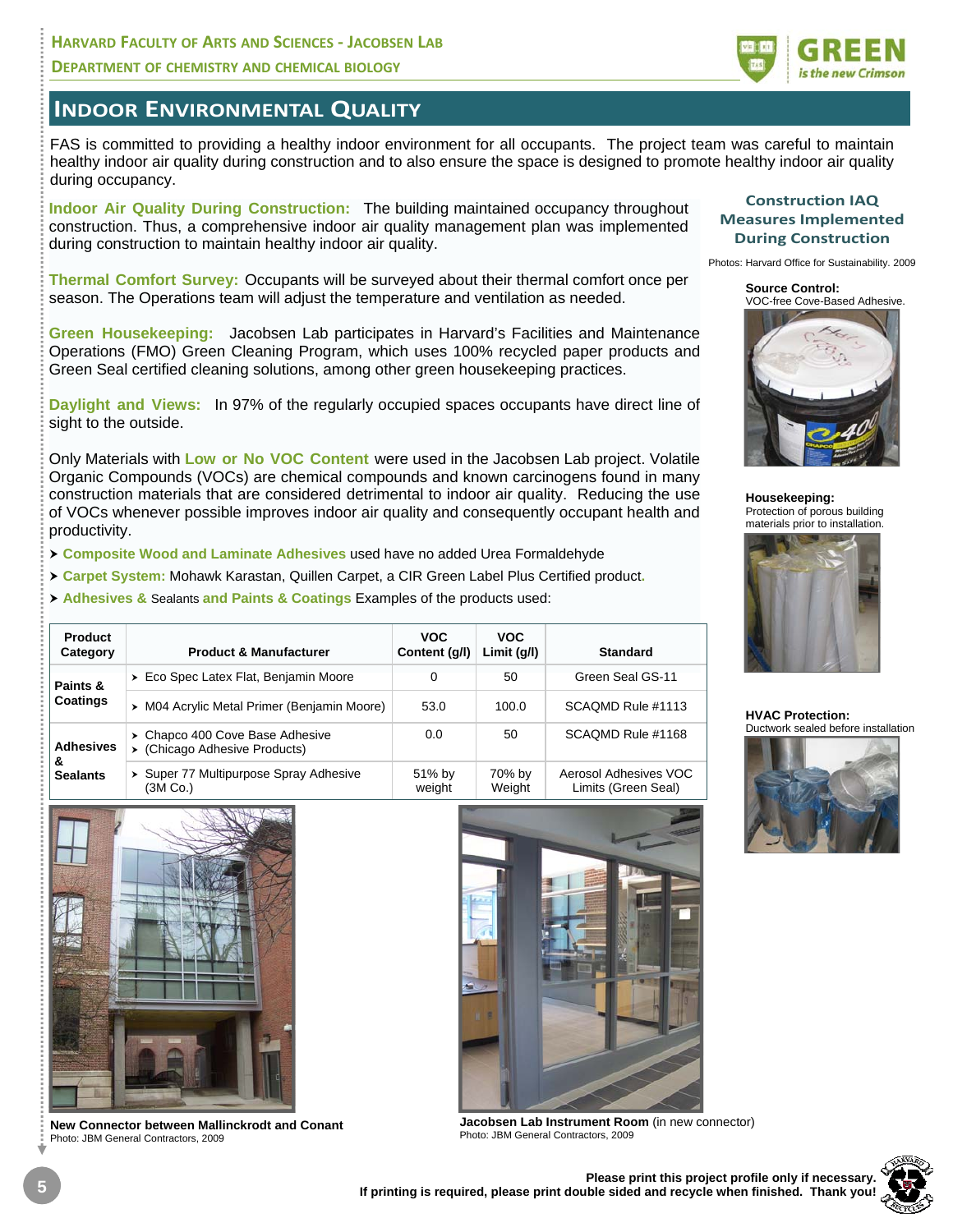### **HARVARD FACULTY OF ARTS AND SCIENCES ‐ JACOBSEN LAB DEPARTMENT OF CHEMISTRY AND CHEMICAL BIOLOGY**



## **INDOOR ENVIRONMENTAL QUALITY**

FAS is committed to providing a healthy indoor environment for all occupants. The project team was careful to maintain healthy indoor air quality during construction and to also ensure the space is designed to promote healthy indoor air quality during occupancy.

**Indoor Air Quality During Construction:** The building maintained occupancy throughout construction. Thus, a comprehensive indoor air quality management plan was implemented during construction to maintain healthy indoor air quality.

**Thermal Comfort Survey:** Occupants will be surveyed about their thermal comfort once per season. The Operations team will adjust the temperature and ventilation as needed.

**Green Housekeeping:** Jacobsen Lab participates in Harvard's Facilities and Maintenance Operations (FMO) Green Cleaning Program, which uses 100% recycled paper products and Green Seal certified cleaning solutions, among other green housekeeping practices.

**Daylight and Views:** In 97% of the regularly occupied spaces occupants have direct line of sight to the outside.

Only Materials with **Low or No VOC Content** were used in the Jacobsen Lab project. Volatile Organic Compounds (VOCs) are chemical compounds and known carcinogens found in many construction materials that are considered detrimental to indoor air quality. Reducing the use of VOCs whenever possible improves indoor air quality and consequently occupant health and productivity.

h **Composite Wood and Laminate Adhesives** used have no added Urea Formaldehyde

h **Carpet System:** Mohawk Karastan, Quillen Carpet, a CIR Green Label Plus Certified product**.** 

h **Adhesives &** Sealants **and Paints & Coatings** Examples of the products used:

| <b>Product</b><br>Category               | <b>Product &amp; Manufacturer</b>                                | <b>VOC</b><br>Content (g/l) | <b>VOC</b><br>Limit (q/l) | <b>Standard</b>                              |
|------------------------------------------|------------------------------------------------------------------|-----------------------------|---------------------------|----------------------------------------------|
| Paints &<br><b>Coatings</b>              | > Eco Spec Latex Flat, Benjamin Moore                            | 0                           | 50                        | Green Seal GS-11                             |
|                                          | > M04 Acrylic Metal Primer (Benjamin Moore)                      | 53.0                        | 100.0                     | SCAQMD Rule #1113                            |
| <b>Adhesives</b><br>&<br><b>Sealants</b> | > Chapco 400 Cove Base Adhesive<br>> (Chicago Adhesive Products) | 0.0                         | 50                        | SCAQMD Rule #1168                            |
|                                          | > Super 77 Multipurpose Spray Adhesive<br>(3M Co.)               | 51% by<br>weight            | 70% by<br>Weight          | Aerosol Adhesives VOC<br>Limits (Green Seal) |



**New Connector between Mallinckrodt and Conant**  Photo: JBM General Contractors, 2009

**Jacobsen Lab Instrument Room** (in new connector) Photo: JBM General Contractors, 2009

#### **Construction IAQ Measures Implemented During Construction**

Photos: Harvard Office for Sustainability. 2009



**Housekeeping:**  Protection of porous building



#### **HVAC Protection:**